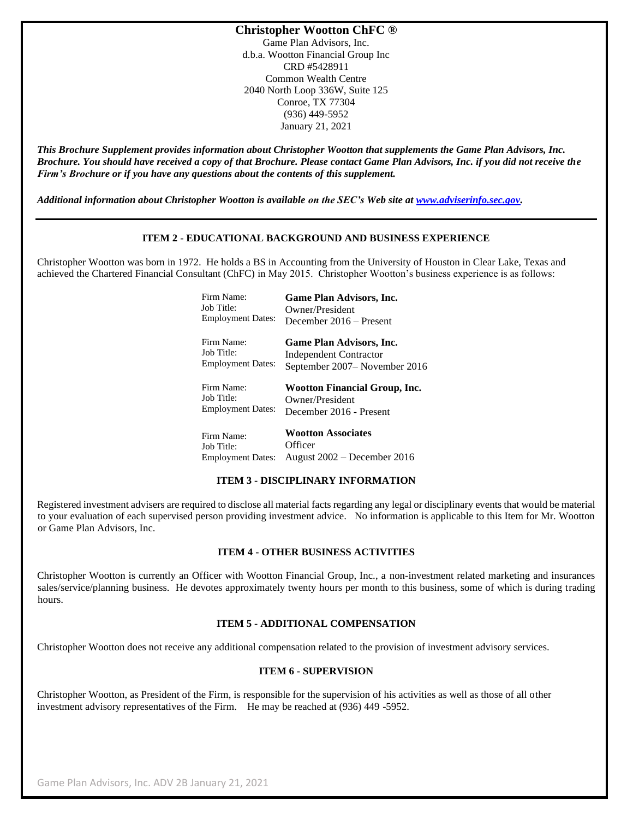# **Christopher Wootton ChFC ®**

Game Plan Advisors, Inc. d.b.a. Wootton Financial Group Inc CRD #5428911 Common Wealth Centre 2040 North Loop 336W, Suite 125 Conroe, TX 77304 (936) 449-5952 January 21, 2021

*This Brochure Supplement provides information about Christopher Wootton that supplements the Game Plan Advisors, Inc. Brochure. You should have received a copy of that Brochure. Please contact Game Plan Advisors, Inc. if you did not receive the Firm's Brochure or if you have any questions about the contents of this supplement.* 

*Additional information about Christopher Wootton is available on the SEC's Web site a[t www.adviserinfo.sec.gov.](http://www.adviserinfo.sec.gov/)*

## **ITEM 2 - EDUCATIONAL BACKGROUND AND BUSINESS EXPERIENCE**

Christopher Wootton was born in 1972. He holds a BS in Accounting from the University of Houston in Clear Lake, Texas and achieved the Chartered Financial Consultant (ChFC) in May 2015. Christopher Wootton's business experience is as follows:

> Firm Name: Job Title: Employment Dates: **Game Plan Advisors, Inc.** Owner/President December 2016 – Present Firm Name: Job Title: Employment Dates: **Game Plan Advisors, Inc.** Independent Contractor September 2007– November 2016 Firm Name: Job Title: Employment Dates: **Wootton Financial Group, Inc.** Owner/President December 2016 - Present

Firm Name: Job Title: Employment Dates: August 2002 – December 2016 **Wootton Associates Officer** 

## **ITEM 3 - DISCIPLINARY INFORMATION**

Registered investment advisers are required to disclose all material facts regarding any legal or disciplinary events that would be material to your evaluation of each supervised person providing investment advice. No information is applicable to this Item for Mr. Wootton or Game Plan Advisors, Inc.

## **ITEM 4 - OTHER BUSINESS ACTIVITIES**

Christopher Wootton is currently an Officer with Wootton Financial Group, Inc., a non-investment related marketing and insurances sales/service/planning business. He devotes approximately twenty hours per month to this business, some of which is during trading hours.

## **ITEM 5 - ADDITIONAL COMPENSATION**

Christopher Wootton does not receive any additional compensation related to the provision of investment advisory services.

## **ITEM 6 - SUPERVISION**

Christopher Wootton, as President of the Firm, is responsible for the supervision of his activities as well as those of all other investment advisory representatives of the Firm. He may be reached at (936) 449 -5952.

Game Plan Advisors, Inc. ADV 2B January 21, 2021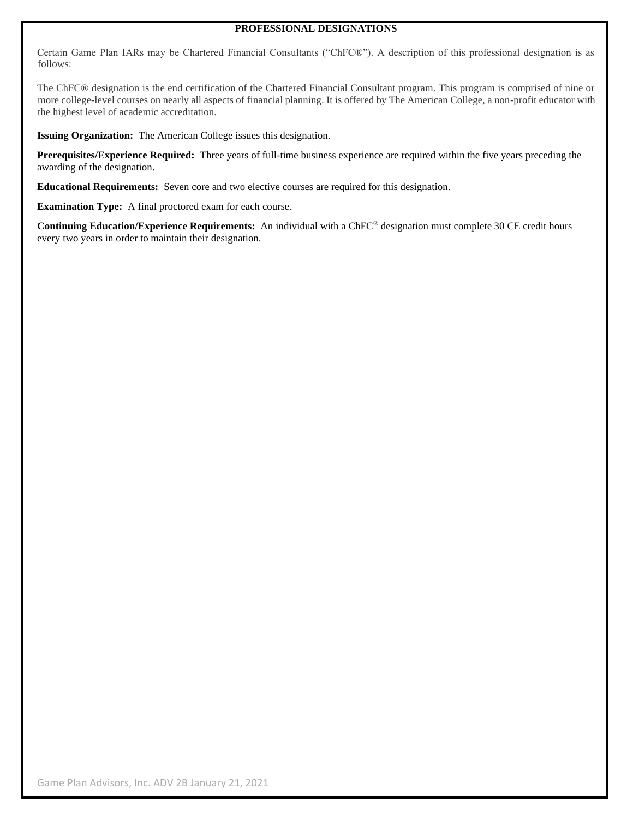## **PROFESSIONAL DESIGNATIONS**

Certain Game Plan IARs may be Chartered Financial Consultants ("ChFC®"). A description of this professional designation is as follows:

The ChFC® designation is the end certification of the Chartered Financial Consultant program. This program is comprised of nine or more college-level courses on nearly all aspects of financial planning. It is offered by The American College, a non-profit educator with the highest level of academic accreditation.

**Issuing Organization:** The American College issues this designation.

**Prerequisites/Experience Required:** Three years of full-time business experience are required within the five years preceding the awarding of the designation.

**Educational Requirements:** Seven core and two elective courses are required for this designation.

**Examination Type:** A final proctored exam for each course.

**Continuing Education/Experience Requirements:** An individual with a ChFC® designation must complete 30 CE credit hours every two years in order to maintain their designation.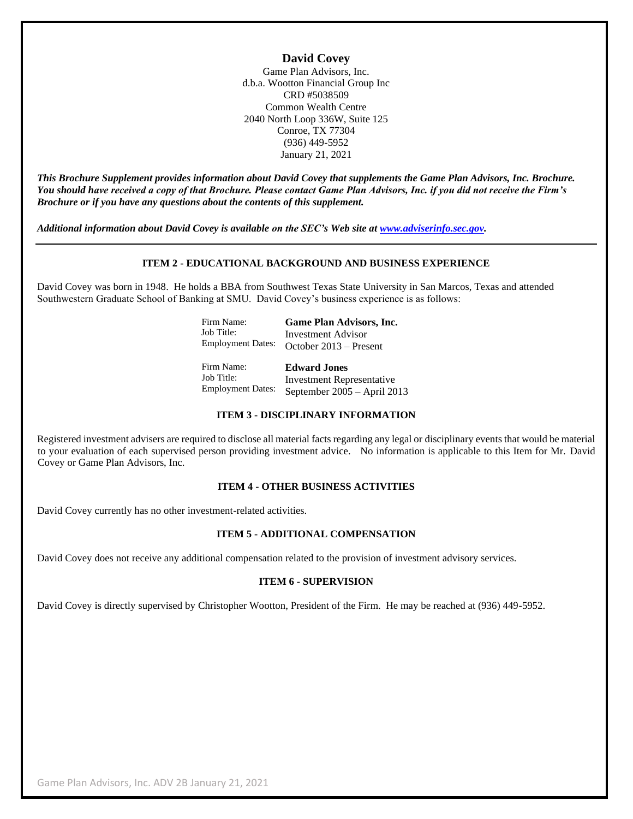# **David Covey**

Game Plan Advisors, Inc. d.b.a. Wootton Financial Group Inc CRD #5038509 Common Wealth Centre 2040 North Loop 336W, Suite 125 Conroe, TX 77304 (936) 449-5952 January 21, 2021

*This Brochure Supplement provides information about David Covey that supplements the Game Plan Advisors, Inc. Brochure. You should have received a copy of that Brochure. Please contact Game Plan Advisors, Inc. if you did not receive the Firm's Brochure or if you have any questions about the contents of this supplement.* 

*Additional information about David Covey is available on the SEC's Web site at [www.adviserinfo.sec.gov.](http://www.adviserinfo.sec.gov/)*

## **ITEM 2 - EDUCATIONAL BACKGROUND AND BUSINESS EXPERIENCE**

David Covey was born in 1948. He holds a BBA from Southwest Texas State University in San Marcos, Texas and attended Southwestern Graduate School of Banking at SMU. David Covey's business experience is as follows:

| Firm Name:               | <b>Game Plan Advisors, Inc.</b> |
|--------------------------|---------------------------------|
| Job Title:               | Investment Advisor              |
| <b>Employment Dates:</b> | October 2013 – Present          |

Firm Name: Job Title: Employment Dates: **Edward Jones** Investment Representative September 2005 – April 2013

## **ITEM 3 - DISCIPLINARY INFORMATION**

Registered investment advisers are required to disclose all material facts regarding any legal or disciplinary events that would be material to your evaluation of each supervised person providing investment advice. No information is applicable to this Item for Mr. David Covey or Game Plan Advisors, Inc.

## **ITEM 4 - OTHER BUSINESS ACTIVITIES**

David Covey currently has no other investment-related activities.

## **ITEM 5 - ADDITIONAL COMPENSATION**

David Covey does not receive any additional compensation related to the provision of investment advisory services.

## **ITEM 6 - SUPERVISION**

David Covey is directly supervised by Christopher Wootton, President of the Firm. He may be reached at (936) 449-5952.

Game Plan Advisors, Inc. ADV 2B January 21, 2021